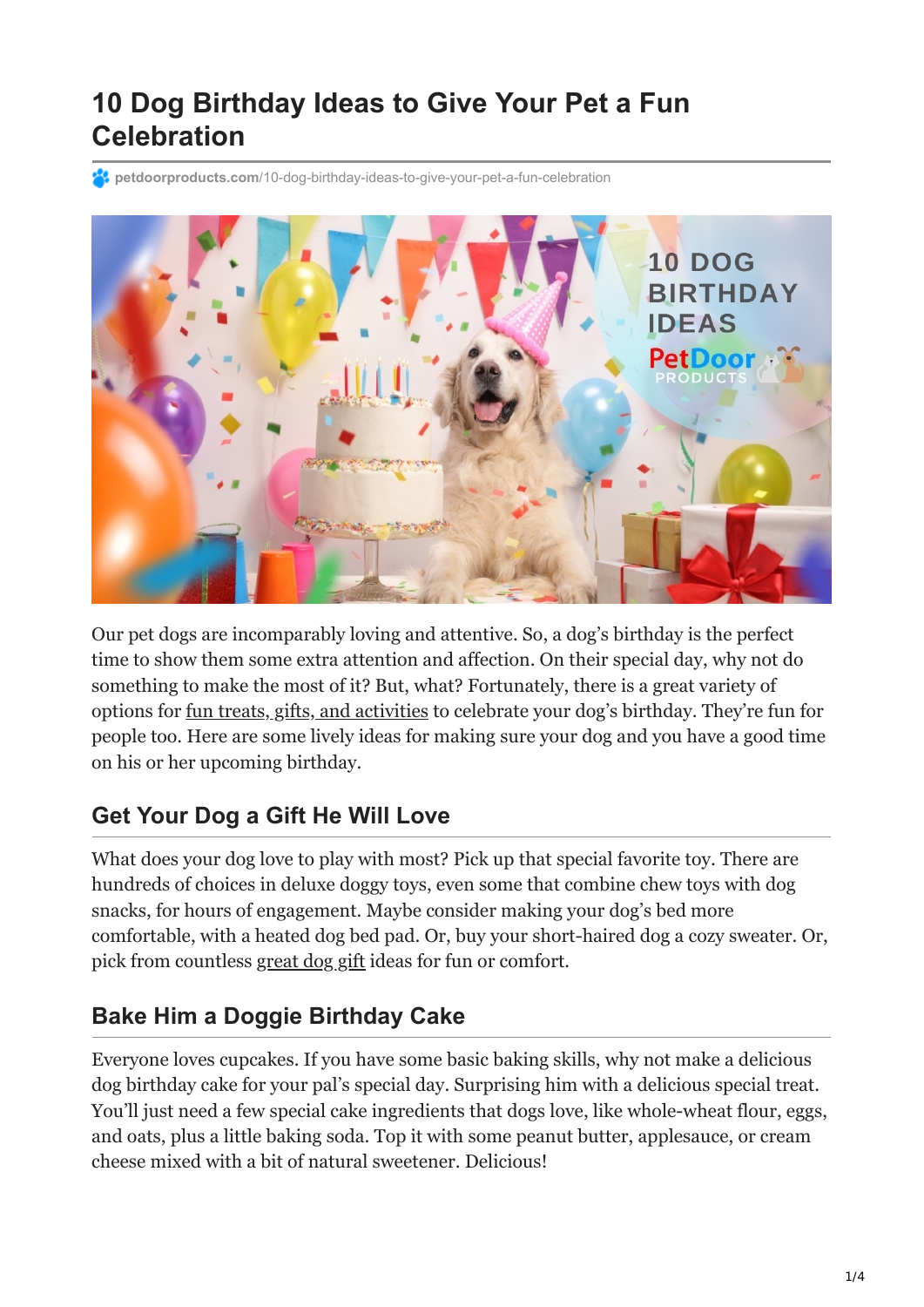# **10 Dog Birthday Ideas to Give Your Pet a Fun Celebration**

**23 petdoorproducts.com**[/10-dog-birthday-ideas-to-give-your-pet-a-fun-celebration](https://petdoorproducts.com/10-dog-birthday-ideas-to-give-your-pet-a-fun-celebration/)



Our pet dogs are incomparably loving and attentive. So, a dog's birthday is the perfect time to show them some extra attention and affection. On their special day, why not do something to make the most of it? But, what? Fortunately, there is a great variety of options for [fun treats, gifts, and activities](https://petdoorproducts.com/the-top-holiday-activities-in-utah-for-pets-and-pet-owners/) to celebrate your dog's birthday. They're fun for people too. Here are some lively ideas for making sure your dog and you have a good time on his or her upcoming birthday.

#### **Get Your Dog a Gift He Will Love**

What does your dog love to play with most? Pick up that special favorite toy. There are hundreds of choices in deluxe doggy toys, even some that combine chew toys with dog snacks, for hours of engagement. Maybe consider making your dog's bed more comfortable, with a heated dog bed pad. Or, buy your short-haired dog a cozy sweater. Or, pick from countless [great dog gift](https://petdoorproducts.com/) ideas for fun or comfort.

## **Bake Him a Doggie Birthday Cake**

Everyone loves cupcakes. If you have some basic baking skills, why not make a delicious dog birthday cake for your pal's special day. Surprising him with a delicious special treat. You'll just need a few special cake ingredients that dogs love, like whole-wheat flour, eggs, and oats, plus a little baking soda. Top it with some peanut butter, applesauce, or cream cheese mixed with a bit of natural sweetener. Delicious!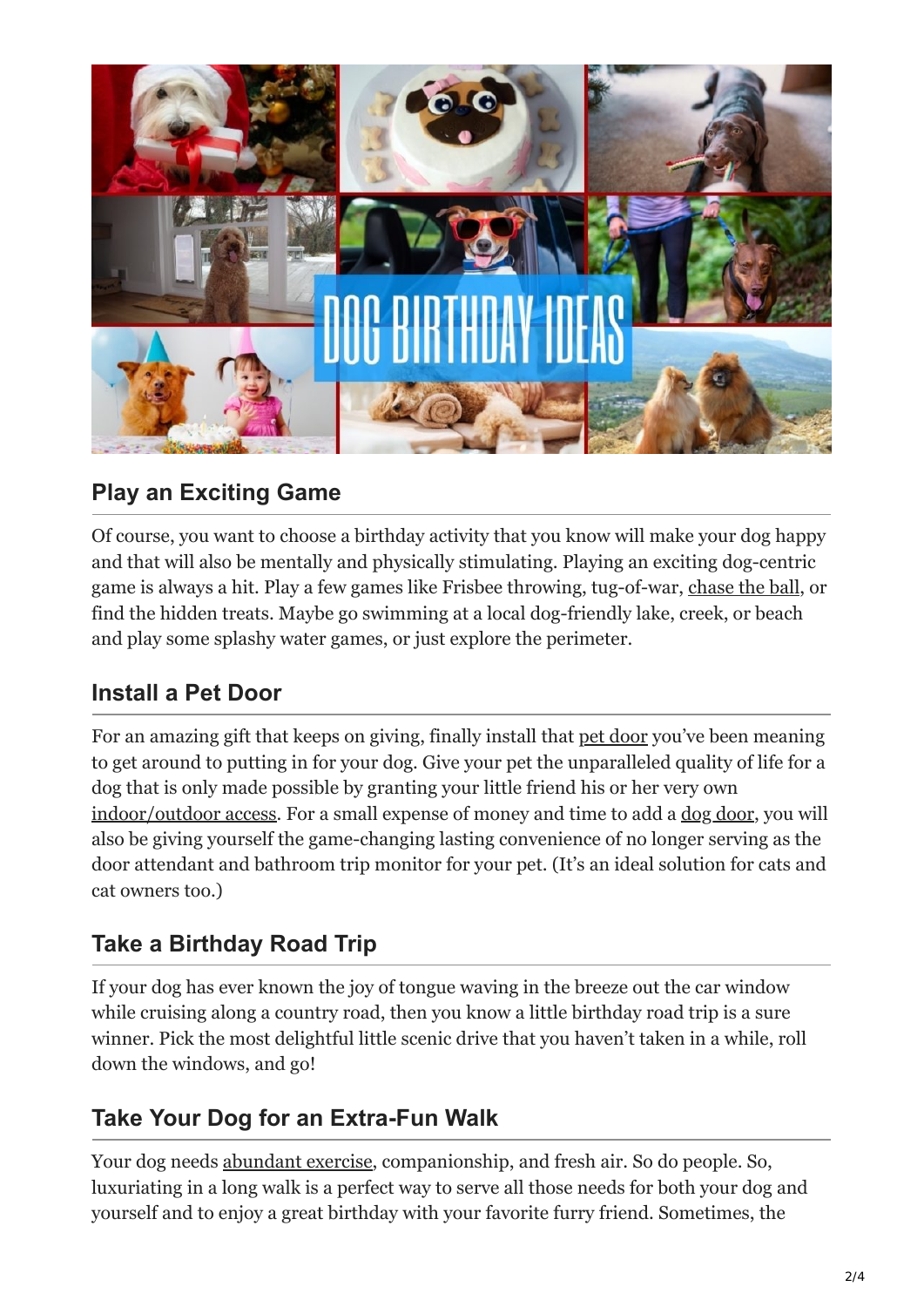

#### **Play an Exciting Game**

Of course, you want to choose a birthday activity that you know will make your dog happy and that will also be mentally and physically stimulating. Playing an exciting dog-centric game is always a hit. Play a few games like Frisbee throwing, tug-of-war, [chase the ball](https://www.aspca.org/news/benefits-walking-your-pet#:~:text=Walking%20is%20good%20for%20your,their%20waistline%2C%20joints%20and%20muscles.), or find the hidden treats. Maybe go swimming at a local dog-friendly lake, creek, or beach and play some splashy water games, or just explore the perimeter.

#### **Install a Pet Door**

For an amazing gift that keeps on giving, finally install that [pet door](https://petdoorproducts.com/) you've been meaning to get around to putting in for your dog. Give your pet the unparalleled quality of life for a dog that is only made possible by granting your little friend his or her very own [indoor/outdoor access.](https://petdoorproducts.com/) For a small expense of money and time to add a [dog door](https://petdoorproducts.com/), you will also be giving yourself the game-changing lasting convenience of no longer serving as the door attendant and bathroom trip monitor for your pet. (It's an ideal solution for cats and cat owners too.)

## **Take a Birthday Road Trip**

If your dog has ever known the joy of tongue waving in the breeze out the car window while cruising along a country road, then you know a little birthday road trip is a sure winner. Pick the most delightful little scenic drive that you haven't taken in a while, roll down the windows, and go!

#### **Take Your Dog for an Extra-Fun Walk**

Your dog needs [abundant exercise](https://www.aspca.org/news/benefits-walking-your-pet#:~:text=Walking%20is%20good%20for%20your,their%20waistline%2C%20joints%20and%20muscles.), companionship, and fresh air. So do people. So, luxuriating in a long walk is a perfect way to serve all those needs for both your dog and yourself and to enjoy a great birthday with your favorite furry friend. Sometimes, the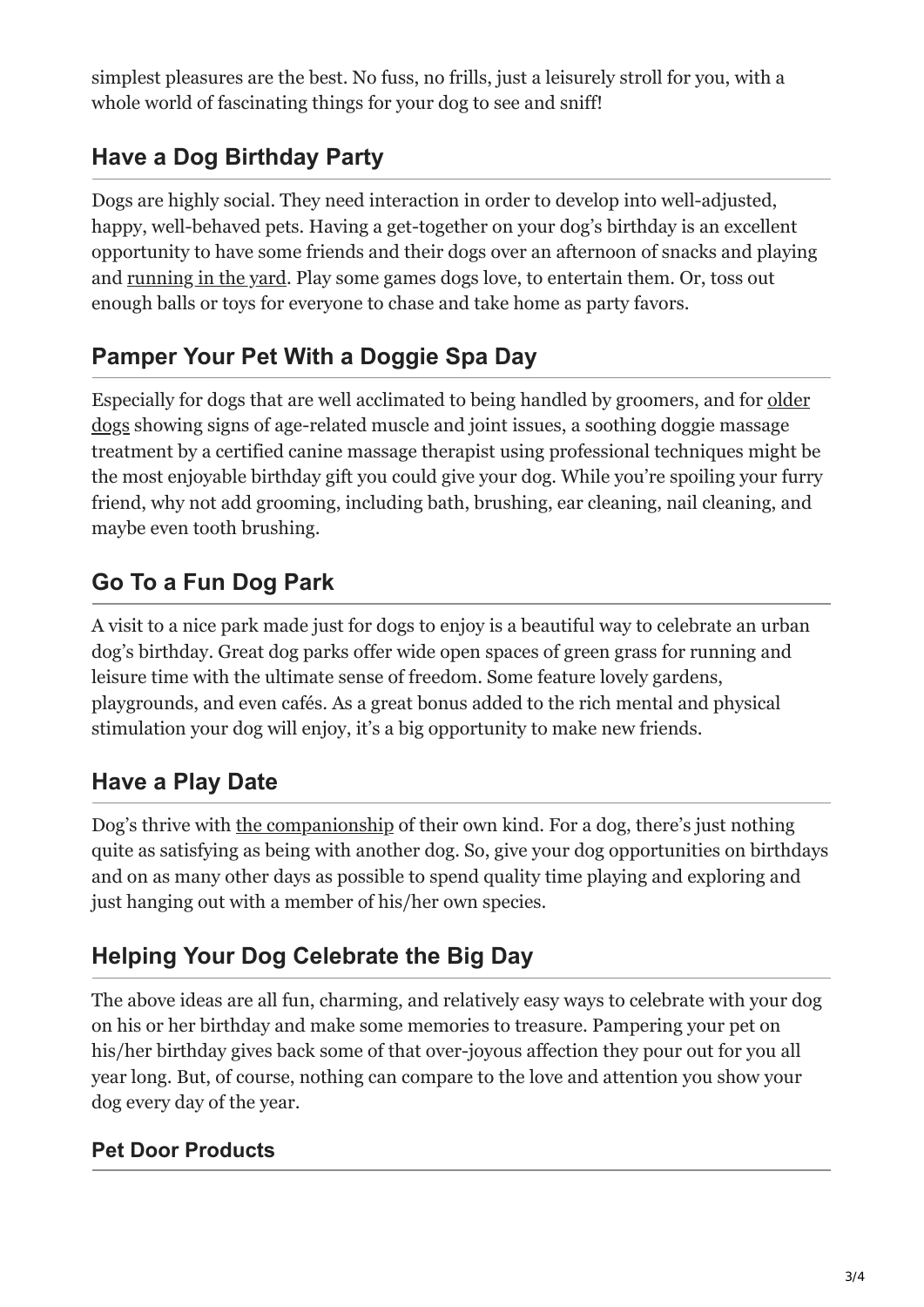simplest pleasures are the best. No fuss, no frills, just a leisurely stroll for you, with a whole world of fascinating things for your dog to see and sniff!

## **Have a Dog Birthday Party**

Dogs are highly social. They need interaction in order to develop into well-adjusted, happy, well-behaved pets. Having a get-together on your dog's birthday is an excellent opportunity to have some friends and their dogs over an afternoon of snacks and playing and [running in the yard.](https://www.aspca.org/news/benefits-walking-your-pet#:~:text=Walking%20is%20good%20for%20your,their%20waistline%2C%20joints%20and%20muscles.) Play some games dogs love, to entertain them. Or, toss out enough balls or toys for everyone to chase and take home as party favors.

#### **Pamper Your Pet With a Doggie Spa Day**

[Especially for dogs that are well acclimated to being handled by groomers, and for older](https://www.aspca.org/blog/older-pet-may-be-perfect-pet) dogs showing signs of age-related muscle and joint issues, a soothing doggie massage treatment by a certified canine massage therapist using professional techniques might be the most enjoyable birthday gift you could give your dog. While you're spoiling your furry friend, why not add grooming, including bath, brushing, ear cleaning, nail cleaning, and maybe even tooth brushing.

## **Go To a Fun Dog Park**

A visit to a nice park made just for dogs to enjoy is a beautiful way to celebrate an urban dog's birthday. Great dog parks offer wide open spaces of green grass for running and leisure time with the ultimate sense of freedom. Some feature lovely gardens, playgrounds, and even cafés. As a great bonus added to the rich mental and physical stimulation your dog will enjoy, it's a big opportunity to make new friends.

## **Have a Play Date**

Dog's thrive with [the companionship](https://petdoorproducts.com/reasons-to-spend-valentines-day-with-your-dog/) of their own kind. For a dog, there's just nothing quite as satisfying as being with another dog. So, give your dog opportunities on birthdays and on as many other days as possible to spend quality time playing and exploring and just hanging out with a member of his/her own species.

## **Helping Your Dog Celebrate the Big Day**

The above ideas are all fun, charming, and relatively easy ways to celebrate with your dog on his or her birthday and make some memories to treasure. Pampering your pet on his/her birthday gives back some of that over-joyous affection they pour out for you all year long. But, of course, nothing can compare to the love and attention you show your dog every day of the year.

#### **Pet Door Products**